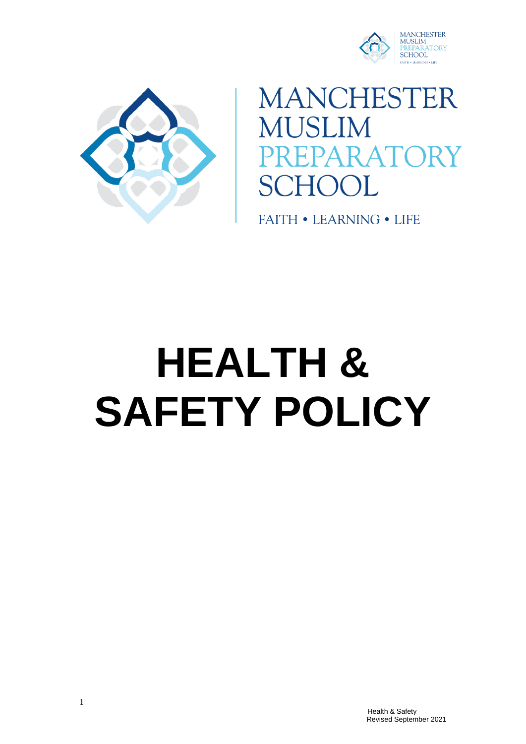



**MANCHESTER** MUSLIM **RATORY**  $\mathbf{L}$ 

**FAITH • LEARNING • LIFE** 

# **HEALTH & SAFETY POLICY**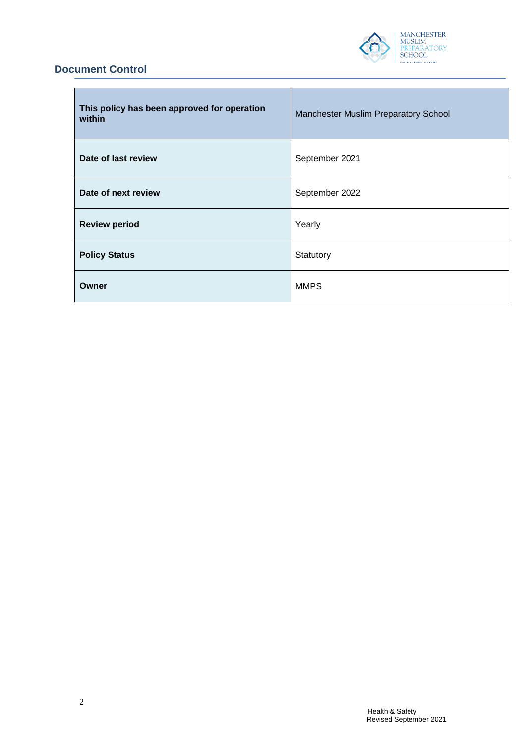

# **Document Control**

| This policy has been approved for operation<br>within | Manchester Muslim Preparatory School |
|-------------------------------------------------------|--------------------------------------|
| Date of last review                                   | September 2021                       |
| Date of next review                                   | September 2022                       |
| <b>Review period</b>                                  | Yearly                               |
| <b>Policy Status</b>                                  | Statutory                            |
| Owner                                                 | <b>MMPS</b>                          |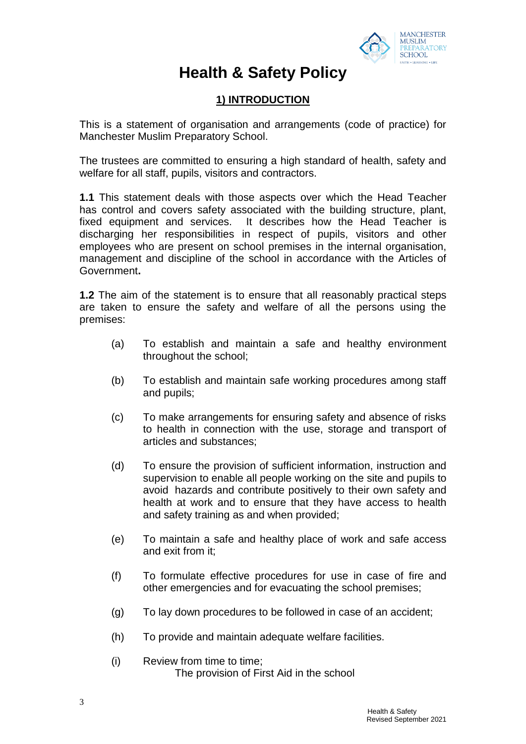

# **Health & Safety Policy**

# **1) INTRODUCTION**

This is a statement of organisation and arrangements (code of practice) for Manchester Muslim Preparatory School.

The trustees are committed to ensuring a high standard of health, safety and welfare for all staff, pupils, visitors and contractors.

**1.1** This statement deals with those aspects over which the Head Teacher has control and covers safety associated with the building structure, plant, fixed equipment and services. It describes how the Head Teacher is discharging her responsibilities in respect of pupils, visitors and other employees who are present on school premises in the internal organisation, management and discipline of the school in accordance with the Articles of Government**.**

**1.2** The aim of the statement is to ensure that all reasonably practical steps are taken to ensure the safety and welfare of all the persons using the premises:

- (a) To establish and maintain a safe and healthy environment throughout the school;
- (b) To establish and maintain safe working procedures among staff and pupils;
- (c) To make arrangements for ensuring safety and absence of risks to health in connection with the use, storage and transport of articles and substances;
- (d) To ensure the provision of sufficient information, instruction and supervision to enable all people working on the site and pupils to avoid hazards and contribute positively to their own safety and health at work and to ensure that they have access to health and safety training as and when provided;
- (e) To maintain a safe and healthy place of work and safe access and exit from it;
- (f) To formulate effective procedures for use in case of fire and other emergencies and for evacuating the school premises;
- (g) To lay down procedures to be followed in case of an accident;
- (h) To provide and maintain adequate welfare facilities.
- (i) Review from time to time; The provision of First Aid in the school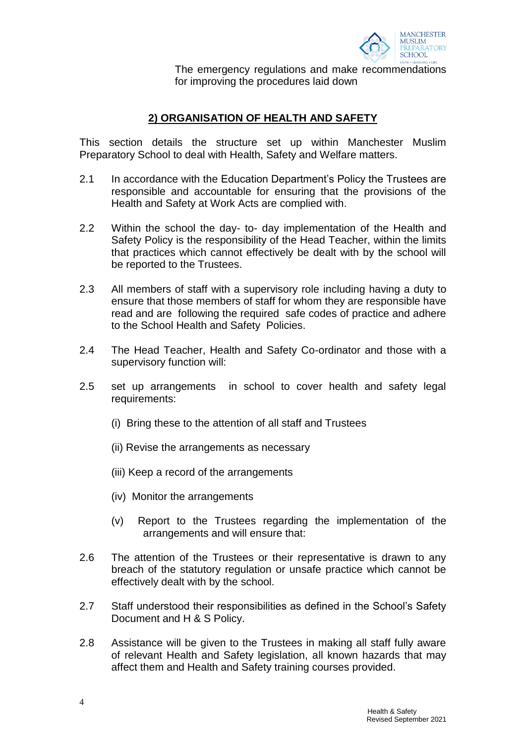

The emergency regulations and make recommendations for improving the procedures laid down

# **2) ORGANISATION OF HEALTH AND SAFETY**

This section details the structure set up within Manchester Muslim Preparatory School to deal with Health, Safety and Welfare matters.

- 2.1 In accordance with the Education Department's Policy the Trustees are responsible and accountable for ensuring that the provisions of the Health and Safety at Work Acts are complied with.
- 2.2 Within the school the day- to- day implementation of the Health and Safety Policy is the responsibility of the Head Teacher, within the limits that practices which cannot effectively be dealt with by the school will be reported to the Trustees.
- 2.3 All members of staff with a supervisory role including having a duty to ensure that those members of staff for whom they are responsible have read and are following the required safe codes of practice and adhere to the School Health and Safety Policies.
- 2.4 The Head Teacher, Health and Safety Co-ordinator and those with a supervisory function will:
- 2.5 set up arrangements in school to cover health and safety legal requirements:
	- (i) Bring these to the attention of all staff and Trustees
	- (ii) Revise the arrangements as necessary
	- (iii) Keep a record of the arrangements
	- (iv) Monitor the arrangements
	- (v) Report to the Trustees regarding the implementation of the arrangements and will ensure that:
- 2.6 The attention of the Trustees or their representative is drawn to any breach of the statutory regulation or unsafe practice which cannot be effectively dealt with by the school.
- 2.7 Staff understood their responsibilities as defined in the School's Safety Document and H & S Policy.
- 2.8 Assistance will be given to the Trustees in making all staff fully aware of relevant Health and Safety legislation, all known hazards that may affect them and Health and Safety training courses provided.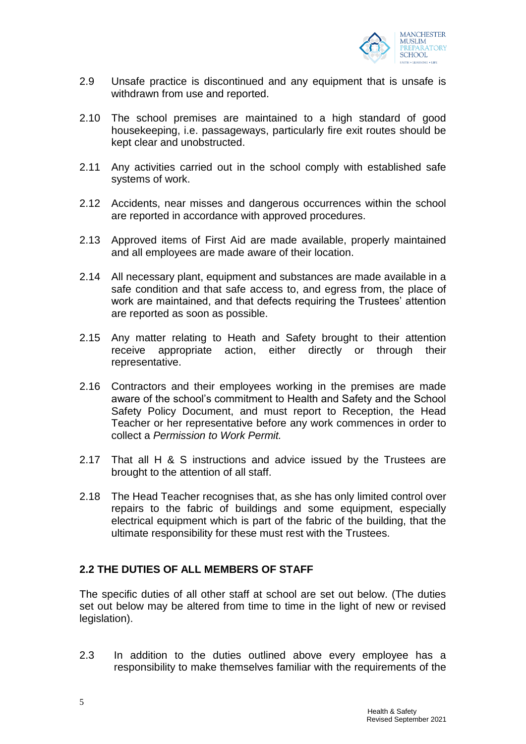

- 2.9 Unsafe practice is discontinued and any equipment that is unsafe is withdrawn from use and reported.
- 2.10 The school premises are maintained to a high standard of good housekeeping, i.e. passageways, particularly fire exit routes should be kept clear and unobstructed.
- 2.11 Any activities carried out in the school comply with established safe systems of work.
- 2.12 Accidents, near misses and dangerous occurrences within the school are reported in accordance with approved procedures.
- 2.13 Approved items of First Aid are made available, properly maintained and all employees are made aware of their location.
- 2.14 All necessary plant, equipment and substances are made available in a safe condition and that safe access to, and egress from, the place of work are maintained, and that defects requiring the Trustees' attention are reported as soon as possible.
- 2.15 Any matter relating to Heath and Safety brought to their attention receive appropriate action, either directly or through their representative.
- 2.16 Contractors and their employees working in the premises are made aware of the school's commitment to Health and Safety and the School Safety Policy Document, and must report to Reception, the Head Teacher or her representative before any work commences in order to collect a *Permission to Work Permit.*
- 2.17 That all H & S instructions and advice issued by the Trustees are brought to the attention of all staff.
- 2.18 The Head Teacher recognises that, as she has only limited control over repairs to the fabric of buildings and some equipment, especially electrical equipment which is part of the fabric of the building, that the ultimate responsibility for these must rest with the Trustees.

#### **2.2 THE DUTIES OF ALL MEMBERS OF STAFF**

The specific duties of all other staff at school are set out below. (The duties set out below may be altered from time to time in the light of new or revised legislation).

2.3 In addition to the duties outlined above every employee has a responsibility to make themselves familiar with the requirements of the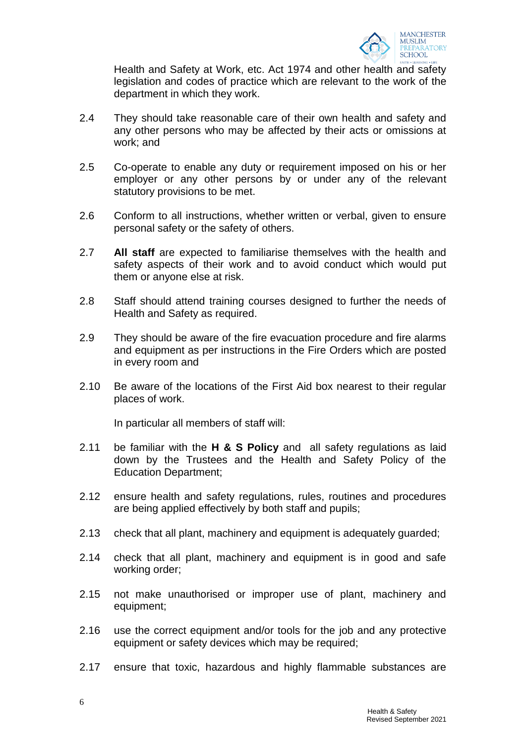

Health and Safety at Work, etc. Act 1974 and other health and safety legislation and codes of practice which are relevant to the work of the department in which they work.

- 2.4 They should take reasonable care of their own health and safety and any other persons who may be affected by their acts or omissions at work; and
- 2.5 Co-operate to enable any duty or requirement imposed on his or her employer or any other persons by or under any of the relevant statutory provisions to be met.
- 2.6 Conform to all instructions, whether written or verbal, given to ensure personal safety or the safety of others.
- 2.7 **All staff** are expected to familiarise themselves with the health and safety aspects of their work and to avoid conduct which would put them or anyone else at risk.
- 2.8 Staff should attend training courses designed to further the needs of Health and Safety as required.
- 2.9 They should be aware of the fire evacuation procedure and fire alarms and equipment as per instructions in the Fire Orders which are posted in every room and
- 2.10 Be aware of the locations of the First Aid box nearest to their regular places of work.

In particular all members of staff will:

- 2.11 be familiar with the **H & S Policy** and all safety regulations as laid down by the Trustees and the Health and Safety Policy of the Education Department;
- 2.12 ensure health and safety regulations, rules, routines and procedures are being applied effectively by both staff and pupils;
- 2.13 check that all plant, machinery and equipment is adequately guarded;
- 2.14 check that all plant, machinery and equipment is in good and safe working order;
- 2.15 not make unauthorised or improper use of plant, machinery and equipment;
- 2.16 use the correct equipment and/or tools for the job and any protective equipment or safety devices which may be required;
- 2.17 ensure that toxic, hazardous and highly flammable substances are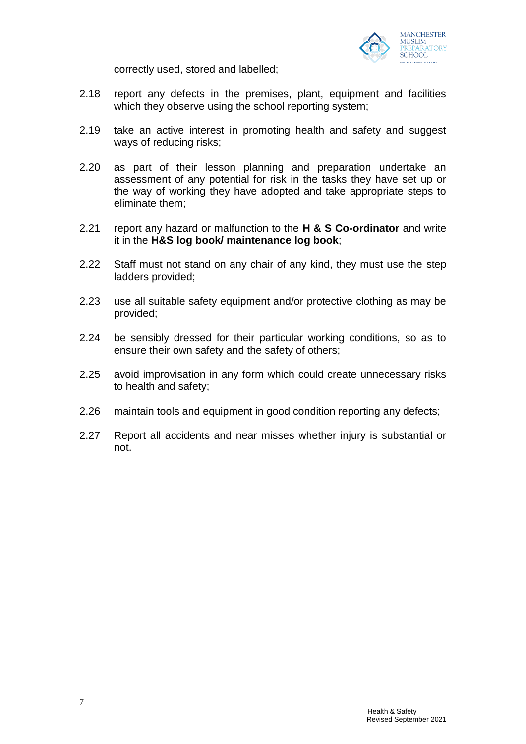

correctly used, stored and labelled;

- 2.18 report any defects in the premises, plant, equipment and facilities which they observe using the school reporting system;
- 2.19 take an active interest in promoting health and safety and suggest ways of reducing risks;
- 2.20 as part of their lesson planning and preparation undertake an assessment of any potential for risk in the tasks they have set up or the way of working they have adopted and take appropriate steps to eliminate them;
- 2.21 report any hazard or malfunction to the **H & S Co-ordinator** and write it in the **H&S log book/ maintenance log book**;
- 2.22 Staff must not stand on any chair of any kind, they must use the step ladders provided;
- 2.23 use all suitable safety equipment and/or protective clothing as may be provided;
- 2.24 be sensibly dressed for their particular working conditions, so as to ensure their own safety and the safety of others;
- 2.25 avoid improvisation in any form which could create unnecessary risks to health and safety;
- 2.26 maintain tools and equipment in good condition reporting any defects;
- 2.27 Report all accidents and near misses whether injury is substantial or not.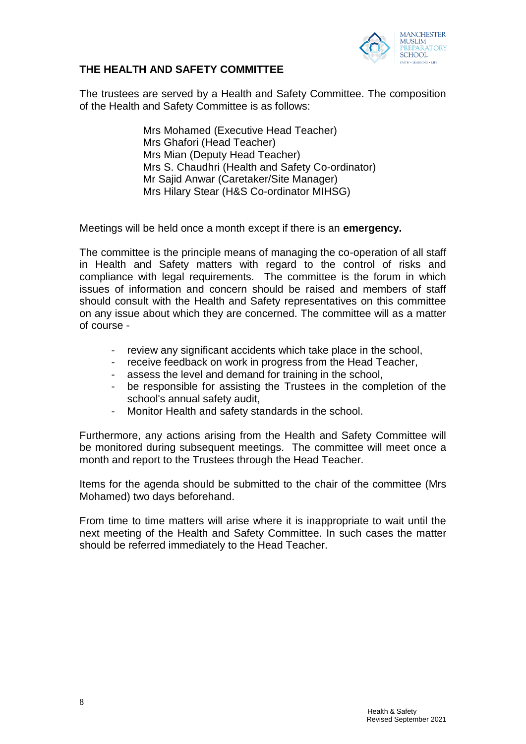

#### **THE HEALTH AND SAFETY COMMITTEE**

The trustees are served by a Health and Safety Committee. The composition of the Health and Safety Committee is as follows:

> Mrs Mohamed (Executive Head Teacher) Mrs Ghafori (Head Teacher) Mrs Mian (Deputy Head Teacher) Mrs S. Chaudhri (Health and Safety Co-ordinator) Mr Sajid Anwar (Caretaker/Site Manager) Mrs Hilary Stear (H&S Co-ordinator MIHSG)

Meetings will be held once a month except if there is an **emergency.**

The committee is the principle means of managing the co-operation of all staff in Health and Safety matters with regard to the control of risks and compliance with legal requirements. The committee is the forum in which issues of information and concern should be raised and members of staff should consult with the Health and Safety representatives on this committee on any issue about which they are concerned. The committee will as a matter of course -

- review any significant accidents which take place in the school,
- receive feedback on work in progress from the Head Teacher,
- assess the level and demand for training in the school,
- be responsible for assisting the Trustees in the completion of the school's annual safety audit,
- Monitor Health and safety standards in the school.

Furthermore, any actions arising from the Health and Safety Committee will be monitored during subsequent meetings. The committee will meet once a month and report to the Trustees through the Head Teacher.

Items for the agenda should be submitted to the chair of the committee (Mrs Mohamed) two days beforehand.

From time to time matters will arise where it is inappropriate to wait until the next meeting of the Health and Safety Committee. In such cases the matter should be referred immediately to the Head Teacher.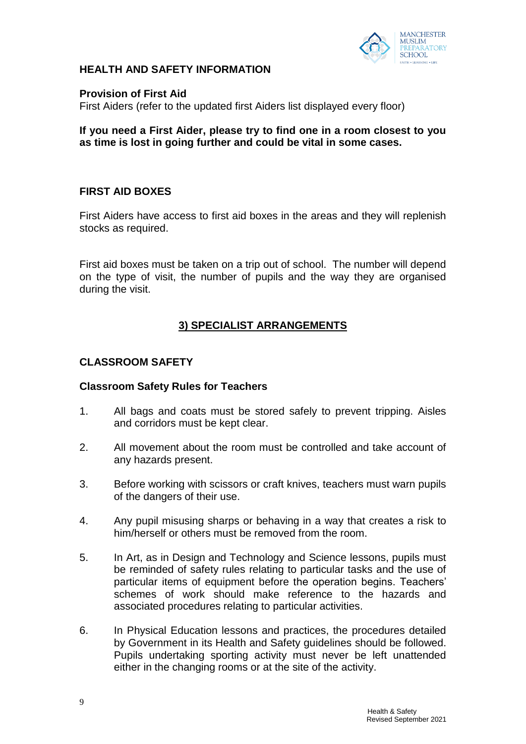

### **HEALTH AND SAFETY INFORMATION**

#### **Provision of First Aid**

First Aiders (refer to the updated first Aiders list displayed every floor)

#### **If you need a First Aider, please try to find one in a room closest to you as time is lost in going further and could be vital in some cases.**

# **FIRST AID BOXES**

First Aiders have access to first aid boxes in the areas and they will replenish stocks as required.

First aid boxes must be taken on a trip out of school. The number will depend on the type of visit, the number of pupils and the way they are organised during the visit.

# **3) SPECIALIST ARRANGEMENTS**

# **CLASSROOM SAFETY**

#### **Classroom Safety Rules for Teachers**

- 1. All bags and coats must be stored safely to prevent tripping. Aisles and corridors must be kept clear.
- 2. All movement about the room must be controlled and take account of any hazards present.
- 3. Before working with scissors or craft knives, teachers must warn pupils of the dangers of their use.
- 4. Any pupil misusing sharps or behaving in a way that creates a risk to him/herself or others must be removed from the room.
- 5. In Art, as in Design and Technology and Science lessons, pupils must be reminded of safety rules relating to particular tasks and the use of particular items of equipment before the operation begins. Teachers' schemes of work should make reference to the hazards and associated procedures relating to particular activities.
- 6. In Physical Education lessons and practices, the procedures detailed by Government in its Health and Safety guidelines should be followed. Pupils undertaking sporting activity must never be left unattended either in the changing rooms or at the site of the activity.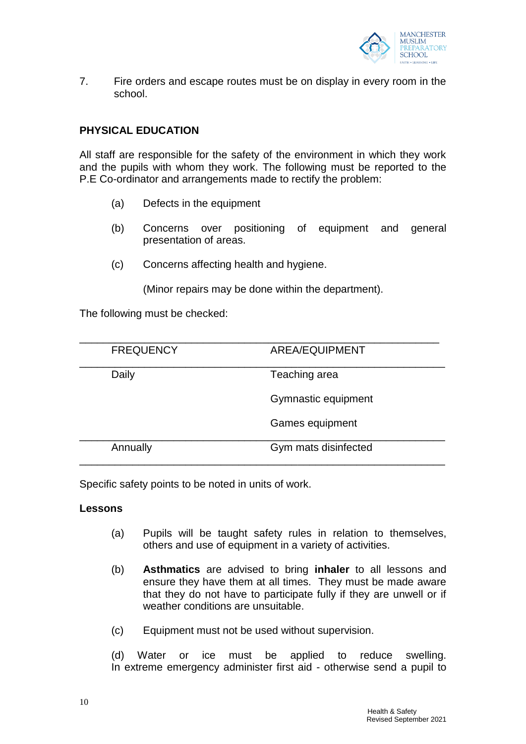

7. Fire orders and escape routes must be on display in every room in the school.

#### **PHYSICAL EDUCATION**

All staff are responsible for the safety of the environment in which they work and the pupils with whom they work. The following must be reported to the P.E Co-ordinator and arrangements made to rectify the problem:

- (a) Defects in the equipment
- (b) Concerns over positioning of equipment and general presentation of areas.
- (c) Concerns affecting health and hygiene.

(Minor repairs may be done within the department).

The following must be checked:

| <b>FREQUENCY</b> | AREA/EQUIPMENT       |
|------------------|----------------------|
| Daily            | Teaching area        |
|                  | Gymnastic equipment  |
|                  | Games equipment      |
| Annually         | Gym mats disinfected |

Specific safety points to be noted in units of work.

#### **Lessons**

- (a) Pupils will be taught safety rules in relation to themselves, others and use of equipment in a variety of activities.
- (b) **Asthmatics** are advised to bring **inhaler** to all lessons and ensure they have them at all times. They must be made aware that they do not have to participate fully if they are unwell or if weather conditions are unsuitable.
- (c) Equipment must not be used without supervision.

(d) Water or ice must be applied to reduce swelling. In extreme emergency administer first aid - otherwise send a pupil to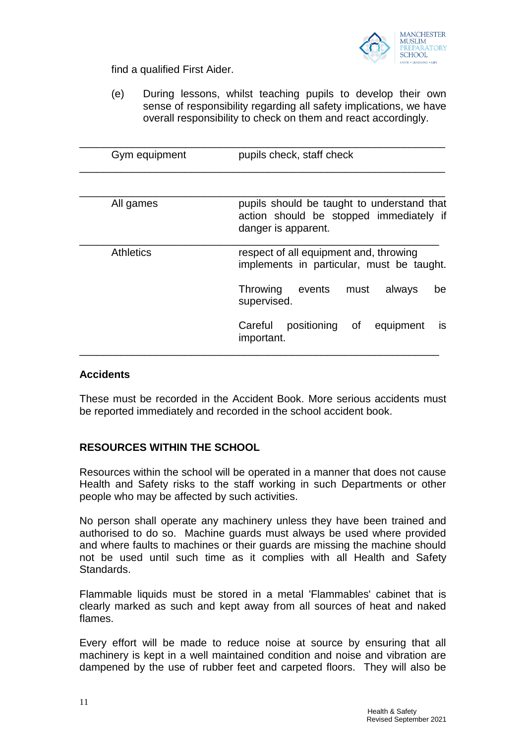

find a qualified First Aider.

(e) During lessons, whilst teaching pupils to develop their own sense of responsibility regarding all safety implications, we have overall responsibility to check on them and react accordingly.

| Gym equipment | pupils check, staff check                                                                                    |
|---------------|--------------------------------------------------------------------------------------------------------------|
|               |                                                                                                              |
| All games     | pupils should be taught to understand that<br>action should be stopped immediately if<br>danger is apparent. |
| Athletics     | respect of all equipment and, throwing<br>implements in particular, must be taught.                          |
|               | Throwing events<br>must<br>always<br>be<br>supervised.                                                       |
|               | Careful<br>positioning of<br>equipment<br><b>IS</b><br>important.                                            |

#### **Accidents**

These must be recorded in the Accident Book. More serious accidents must be reported immediately and recorded in the school accident book.

#### **RESOURCES WITHIN THE SCHOOL**

Resources within the school will be operated in a manner that does not cause Health and Safety risks to the staff working in such Departments or other people who may be affected by such activities.

No person shall operate any machinery unless they have been trained and authorised to do so. Machine guards must always be used where provided and where faults to machines or their guards are missing the machine should not be used until such time as it complies with all Health and Safety Standards.

Flammable liquids must be stored in a metal 'Flammables' cabinet that is clearly marked as such and kept away from all sources of heat and naked flames.

Every effort will be made to reduce noise at source by ensuring that all machinery is kept in a well maintained condition and noise and vibration are dampened by the use of rubber feet and carpeted floors. They will also be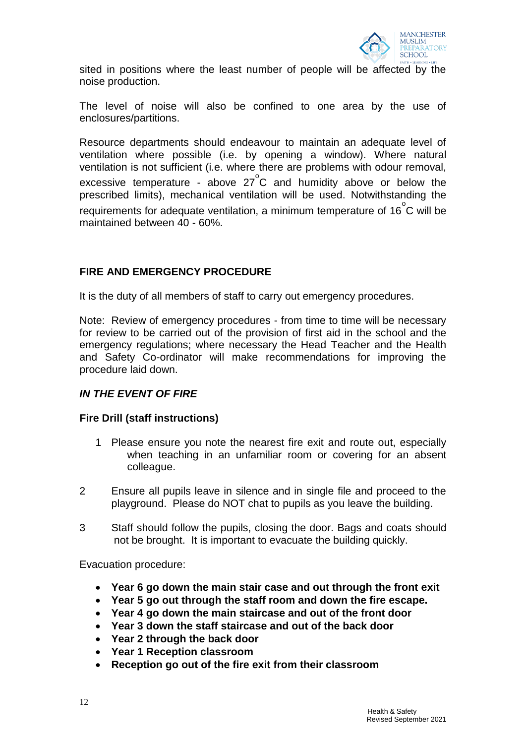

sited in positions where the least number of people will be affected by the noise production.

The level of noise will also be confined to one area by the use of enclosures/partitions.

Resource departments should endeavour to maintain an adequate level of ventilation where possible (i.e. by opening a window). Where natural ventilation is not sufficient (i.e. where there are problems with odour removal, excessive temperature - above  $27^{\circ}$ C and humidity above or below the prescribed limits), mechanical ventilation will be used. Notwithstanding the .<br>requirements for adequate ventilation, a minimum temperature of 16<sup>°</sup>C will be maintained between 40 - 60%.

# **FIRE AND EMERGENCY PROCEDURE**

It is the duty of all members of staff to carry out emergency procedures.

Note: Review of emergency procedures - from time to time will be necessary for review to be carried out of the provision of first aid in the school and the emergency regulations; where necessary the Head Teacher and the Health and Safety Co-ordinator will make recommendations for improving the procedure laid down.

# *IN THE EVENT OF FIRE*

#### **Fire Drill (staff instructions)**

- 1 Please ensure you note the nearest fire exit and route out, especially when teaching in an unfamiliar room or covering for an absent colleague.
- 2 Ensure all pupils leave in silence and in single file and proceed to the playground. Please do NOT chat to pupils as you leave the building.
- 3 Staff should follow the pupils, closing the door. Bags and coats should not be brought. It is important to evacuate the building quickly.

Evacuation procedure:

- **Year 6 go down the main stair case and out through the front exit**
- **Year 5 go out through the staff room and down the fire escape.**
- **Year 4 go down the main staircase and out of the front door**
- **Year 3 down the staff staircase and out of the back door**
- **Year 2 through the back door**
- **Year 1 Reception classroom**
- **Reception go out of the fire exit from their classroom**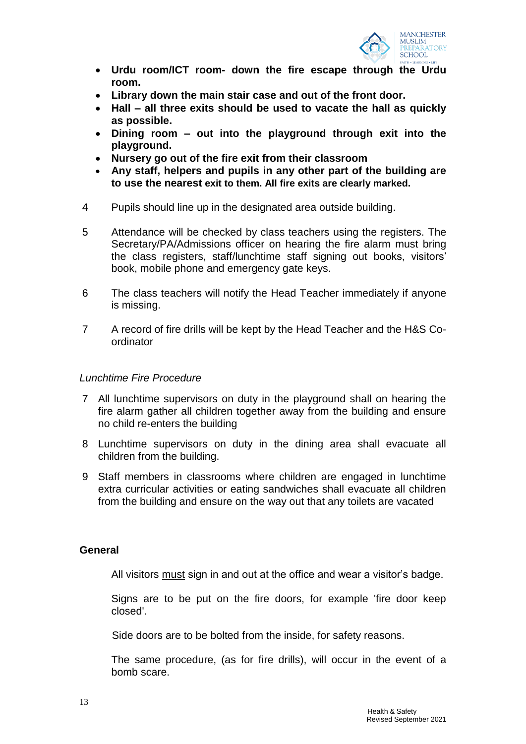

- **Urdu room/ICT room- down the fire escape through the Urdu room.**
- **Library down the main stair case and out of the front door.**
- **Hall – all three exits should be used to vacate the hall as quickly as possible.**
- **Dining room – out into the playground through exit into the playground.**
- **Nursery go out of the fire exit from their classroom**
- **Any staff, helpers and pupils in any other part of the building are to use the nearest exit to them. All fire exits are clearly marked.**
- 4 Pupils should line up in the designated area outside building.
- 5 Attendance will be checked by class teachers using the registers. The Secretary/PA/Admissions officer on hearing the fire alarm must bring the class registers, staff/lunchtime staff signing out books, visitors' book, mobile phone and emergency gate keys.
- 6 The class teachers will notify the Head Teacher immediately if anyone is missing.
- 7 A record of fire drills will be kept by the Head Teacher and the H&S Coordinator

#### *Lunchtime Fire Procedure*

- 7 All lunchtime supervisors on duty in the playground shall on hearing the fire alarm gather all children together away from the building and ensure no child re-enters the building
- 8 Lunchtime supervisors on duty in the dining area shall evacuate all children from the building.
- 9 Staff members in classrooms where children are engaged in lunchtime extra curricular activities or eating sandwiches shall evacuate all children from the building and ensure on the way out that any toilets are vacated

#### **General**

All visitors must sign in and out at the office and wear a visitor's badge.

Signs are to be put on the fire doors, for example 'fire door keep closed'.

Side doors are to be bolted from the inside, for safety reasons.

The same procedure, (as for fire drills), will occur in the event of a bomb scare.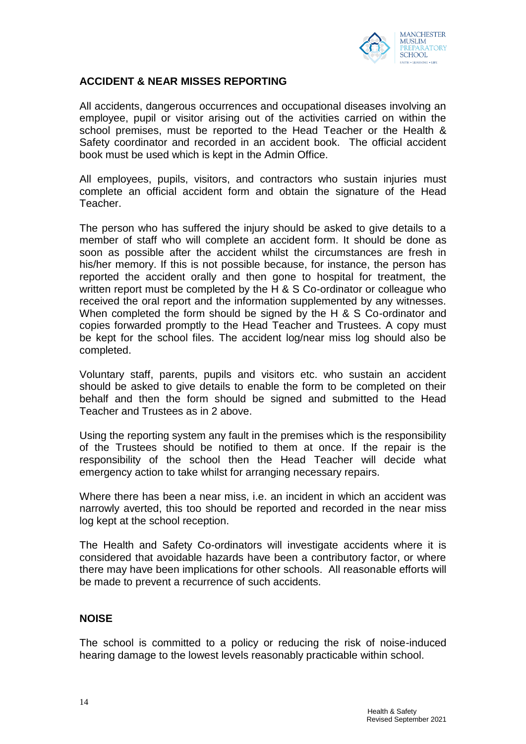

#### **ACCIDENT & NEAR MISSES REPORTING**

All accidents, dangerous occurrences and occupational diseases involving an employee, pupil or visitor arising out of the activities carried on within the school premises, must be reported to the Head Teacher or the Health & Safety coordinator and recorded in an accident book. The official accident book must be used which is kept in the Admin Office.

All employees, pupils, visitors, and contractors who sustain injuries must complete an official accident form and obtain the signature of the Head Teacher.

The person who has suffered the injury should be asked to give details to a member of staff who will complete an accident form. It should be done as soon as possible after the accident whilst the circumstances are fresh in his/her memory. If this is not possible because, for instance, the person has reported the accident orally and then gone to hospital for treatment, the written report must be completed by the H & S Co-ordinator or colleague who received the oral report and the information supplemented by any witnesses. When completed the form should be signed by the H & S Co-ordinator and copies forwarded promptly to the Head Teacher and Trustees. A copy must be kept for the school files. The accident log/near miss log should also be completed.

Voluntary staff, parents, pupils and visitors etc. who sustain an accident should be asked to give details to enable the form to be completed on their behalf and then the form should be signed and submitted to the Head Teacher and Trustees as in 2 above.

Using the reporting system any fault in the premises which is the responsibility of the Trustees should be notified to them at once. If the repair is the responsibility of the school then the Head Teacher will decide what emergency action to take whilst for arranging necessary repairs.

Where there has been a near miss, i.e. an incident in which an accident was narrowly averted, this too should be reported and recorded in the near miss log kept at the school reception.

The Health and Safety Co-ordinators will investigate accidents where it is considered that avoidable hazards have been a contributory factor, or where there may have been implications for other schools. All reasonable efforts will be made to prevent a recurrence of such accidents.

#### **NOISE**

The school is committed to a policy or reducing the risk of noise-induced hearing damage to the lowest levels reasonably practicable within school.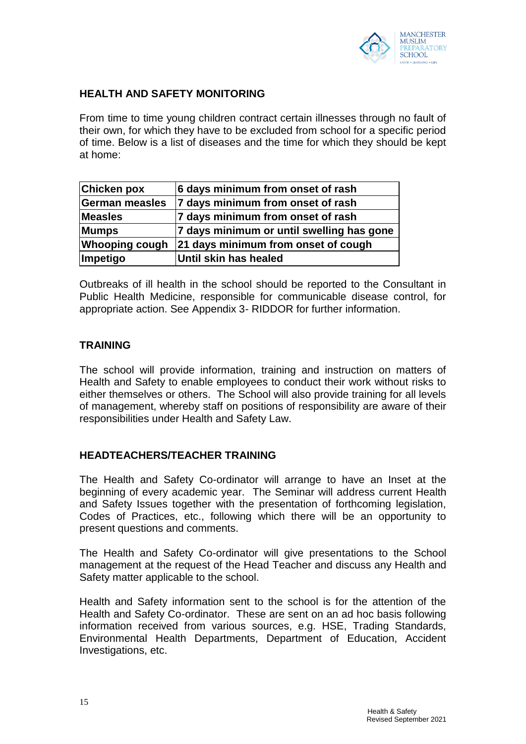

# **HEALTH AND SAFETY MONITORING**

From time to time young children contract certain illnesses through no fault of their own, for which they have to be excluded from school for a specific period of time. Below is a list of diseases and the time for which they should be kept at home:

| <b>Chicken pox</b>    | 6 days minimum from onset of rash         |
|-----------------------|-------------------------------------------|
| <b>German measles</b> | 7 days minimum from onset of rash         |
| <b>Measles</b>        | 7 days minimum from onset of rash         |
| <b>Mumps</b>          | 7 days minimum or until swelling has gone |
| <b>Whooping cough</b> | 21 days minimum from onset of cough       |
| Impetigo              | Until skin has healed                     |

Outbreaks of ill health in the school should be reported to the Consultant in Public Health Medicine, responsible for communicable disease control, for appropriate action. See Appendix 3- RIDDOR for further information.

#### **TRAINING**

The school will provide information, training and instruction on matters of Health and Safety to enable employees to conduct their work without risks to either themselves or others. The School will also provide training for all levels of management, whereby staff on positions of responsibility are aware of their responsibilities under Health and Safety Law.

#### **HEADTEACHERS/TEACHER TRAINING**

The Health and Safety Co-ordinator will arrange to have an Inset at the beginning of every academic year. The Seminar will address current Health and Safety Issues together with the presentation of forthcoming legislation, Codes of Practices, etc., following which there will be an opportunity to present questions and comments.

The Health and Safety Co-ordinator will give presentations to the School management at the request of the Head Teacher and discuss any Health and Safety matter applicable to the school.

Health and Safety information sent to the school is for the attention of the Health and Safety Co-ordinator. These are sent on an ad hoc basis following information received from various sources, e.g. HSE, Trading Standards, Environmental Health Departments, Department of Education, Accident Investigations, etc.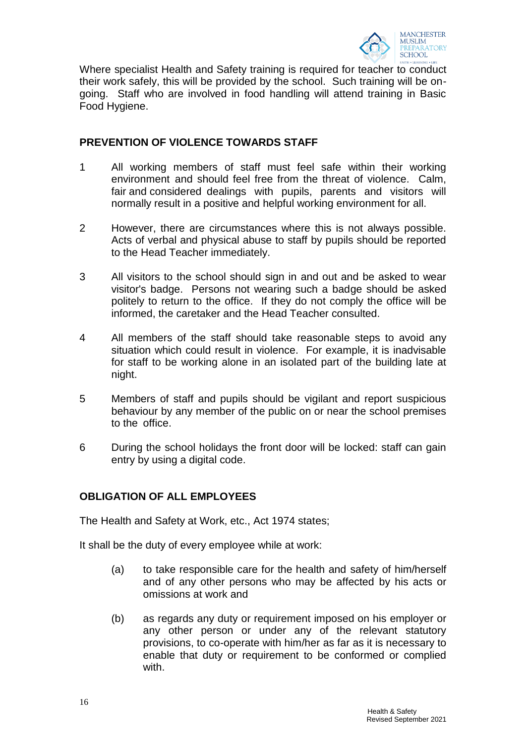

Where specialist Health and Safety training is required for teacher to conduct their work safely, this will be provided by the school. Such training will be ongoing. Staff who are involved in food handling will attend training in Basic Food Hygiene.

# **PREVENTION OF VIOLENCE TOWARDS STAFF**

- 1 All working members of staff must feel safe within their working environment and should feel free from the threat of violence. Calm, fair and considered dealings with pupils, parents and visitors will normally result in a positive and helpful working environment for all.
- 2 However, there are circumstances where this is not always possible. Acts of verbal and physical abuse to staff by pupils should be reported to the Head Teacher immediately.
- 3 All visitors to the school should sign in and out and be asked to wear visitor's badge. Persons not wearing such a badge should be asked politely to return to the office. If they do not comply the office will be informed, the caretaker and the Head Teacher consulted.
- 4 All members of the staff should take reasonable steps to avoid any situation which could result in violence. For example, it is inadvisable for staff to be working alone in an isolated part of the building late at night.
- 5 Members of staff and pupils should be vigilant and report suspicious behaviour by any member of the public on or near the school premises to the office.
- 6 During the school holidays the front door will be locked: staff can gain entry by using a digital code.

# **OBLIGATION OF ALL EMPLOYEES**

The Health and Safety at Work, etc., Act 1974 states;

It shall be the duty of every employee while at work:

- (a) to take responsible care for the health and safety of him/herself and of any other persons who may be affected by his acts or omissions at work and
- (b) as regards any duty or requirement imposed on his employer or any other person or under any of the relevant statutory provisions, to co-operate with him/her as far as it is necessary to enable that duty or requirement to be conformed or complied with.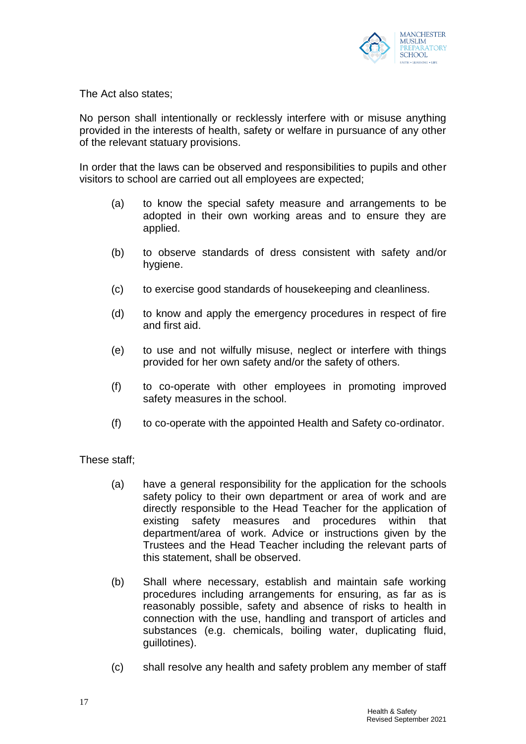

The Act also states;

No person shall intentionally or recklessly interfere with or misuse anything provided in the interests of health, safety or welfare in pursuance of any other of the relevant statuary provisions.

In order that the laws can be observed and responsibilities to pupils and other visitors to school are carried out all employees are expected;

- (a) to know the special safety measure and arrangements to be adopted in their own working areas and to ensure they are applied.
- (b) to observe standards of dress consistent with safety and/or hygiene.
- (c) to exercise good standards of housekeeping and cleanliness.
- (d) to know and apply the emergency procedures in respect of fire and first aid.
- (e) to use and not wilfully misuse, neglect or interfere with things provided for her own safety and/or the safety of others.
- (f) to co-operate with other employees in promoting improved safety measures in the school.
- (f) to co-operate with the appointed Health and Safety co-ordinator.

These staff;

- (a) have a general responsibility for the application for the schools safety policy to their own department or area of work and are directly responsible to the Head Teacher for the application of existing safety measures and procedures within that department/area of work. Advice or instructions given by the Trustees and the Head Teacher including the relevant parts of this statement, shall be observed.
- (b) Shall where necessary, establish and maintain safe working procedures including arrangements for ensuring, as far as is reasonably possible, safety and absence of risks to health in connection with the use, handling and transport of articles and substances (e.g. chemicals, boiling water, duplicating fluid, guillotines).
- (c) shall resolve any health and safety problem any member of staff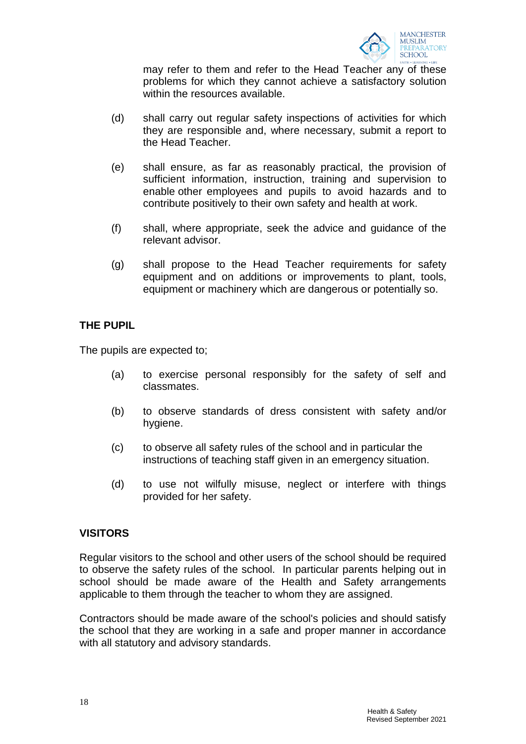

may refer to them and refer to the Head Teacher any of these problems for which they cannot achieve a satisfactory solution within the resources available.

- (d) shall carry out regular safety inspections of activities for which they are responsible and, where necessary, submit a report to the Head Teacher.
- (e) shall ensure, as far as reasonably practical, the provision of sufficient information, instruction, training and supervision to enable other employees and pupils to avoid hazards and to contribute positively to their own safety and health at work.
- (f) shall, where appropriate, seek the advice and guidance of the relevant advisor.
- (g) shall propose to the Head Teacher requirements for safety equipment and on additions or improvements to plant, tools, equipment or machinery which are dangerous or potentially so.

# **THE PUPIL**

The pupils are expected to;

- (a) to exercise personal responsibly for the safety of self and classmates.
- (b) to observe standards of dress consistent with safety and/or hygiene.
- (c) to observe all safety rules of the school and in particular the instructions of teaching staff given in an emergency situation.
- (d) to use not wilfully misuse, neglect or interfere with things provided for her safety.

#### **VISITORS**

Regular visitors to the school and other users of the school should be required to observe the safety rules of the school. In particular parents helping out in school should be made aware of the Health and Safety arrangements applicable to them through the teacher to whom they are assigned.

Contractors should be made aware of the school's policies and should satisfy the school that they are working in a safe and proper manner in accordance with all statutory and advisory standards.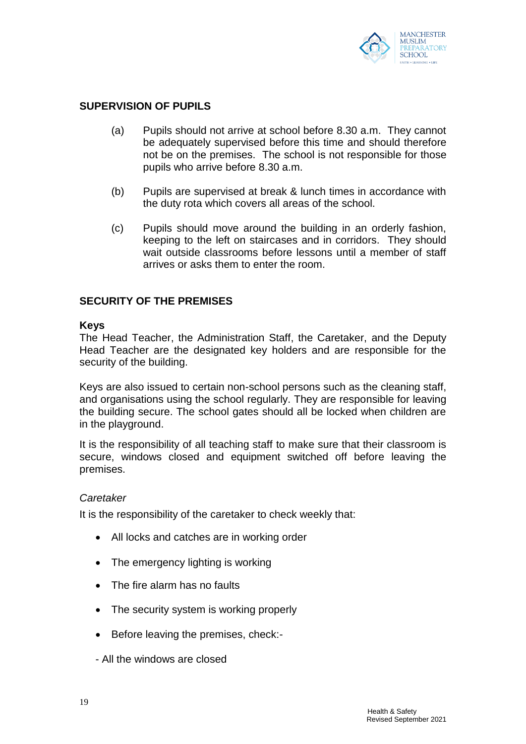

# **SUPERVISION OF PUPILS**

- (a) Pupils should not arrive at school before 8.30 a.m. They cannot be adequately supervised before this time and should therefore not be on the premises. The school is not responsible for those pupils who arrive before 8.30 a.m.
- (b) Pupils are supervised at break & lunch times in accordance with the duty rota which covers all areas of the school.
- (c) Pupils should move around the building in an orderly fashion, keeping to the left on staircases and in corridors. They should wait outside classrooms before lessons until a member of staff arrives or asks them to enter the room.

#### **SECURITY OF THE PREMISES**

#### **Keys**

The Head Teacher, the Administration Staff, the Caretaker, and the Deputy Head Teacher are the designated key holders and are responsible for the security of the building.

Keys are also issued to certain non-school persons such as the cleaning staff, and organisations using the school regularly. They are responsible for leaving the building secure. The school gates should all be locked when children are in the playground.

It is the responsibility of all teaching staff to make sure that their classroom is secure, windows closed and equipment switched off before leaving the premises.

#### *Caretaker*

It is the responsibility of the caretaker to check weekly that:

- All locks and catches are in working order
- The emergency lighting is working
- The fire alarm has no faults
- The security system is working properly
- **Before leaving the premises, check:-**
- All the windows are closed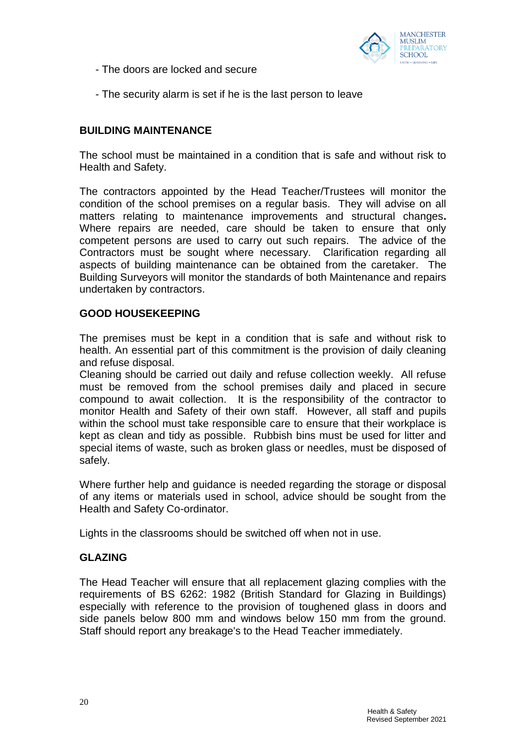

- The doors are locked and secure
- The security alarm is set if he is the last person to leave

### **BUILDING MAINTENANCE**

The school must be maintained in a condition that is safe and without risk to Health and Safety.

The contractors appointed by the Head Teacher/Trustees will monitor the condition of the school premises on a regular basis. They will advise on all matters relating to maintenance improvements and structural changes**.**  Where repairs are needed, care should be taken to ensure that only competent persons are used to carry out such repairs. The advice of the Contractors must be sought where necessary. Clarification regarding all aspects of building maintenance can be obtained from the caretaker. The Building Surveyors will monitor the standards of both Maintenance and repairs undertaken by contractors.

#### **GOOD HOUSEKEEPING**

The premises must be kept in a condition that is safe and without risk to health. An essential part of this commitment is the provision of daily cleaning and refuse disposal.

Cleaning should be carried out daily and refuse collection weekly. All refuse must be removed from the school premises daily and placed in secure compound to await collection. It is the responsibility of the contractor to monitor Health and Safety of their own staff. However, all staff and pupils within the school must take responsible care to ensure that their workplace is kept as clean and tidy as possible. Rubbish bins must be used for litter and special items of waste, such as broken glass or needles, must be disposed of safely.

Where further help and guidance is needed regarding the storage or disposal of any items or materials used in school, advice should be sought from the Health and Safety Co-ordinator.

Lights in the classrooms should be switched off when not in use.

#### **GLAZING**

The Head Teacher will ensure that all replacement glazing complies with the requirements of BS 6262: 1982 (British Standard for Glazing in Buildings) especially with reference to the provision of toughened glass in doors and side panels below 800 mm and windows below 150 mm from the ground. Staff should report any breakage's to the Head Teacher immediately.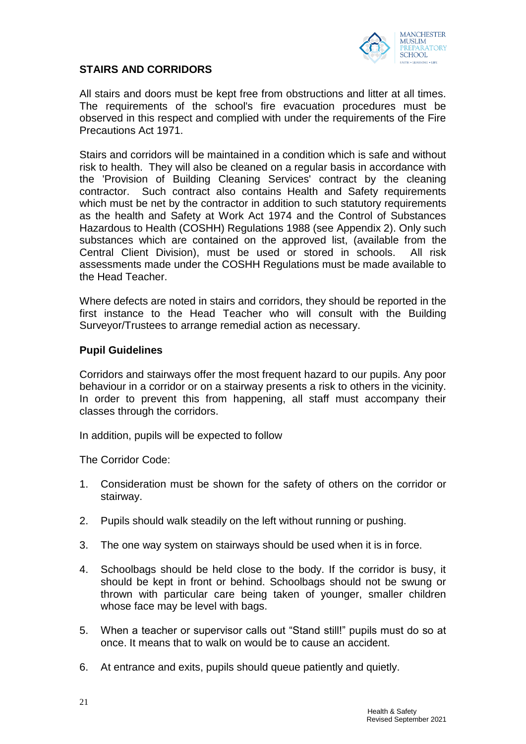

### **STAIRS AND CORRIDORS**

All stairs and doors must be kept free from obstructions and litter at all times. The requirements of the school's fire evacuation procedures must be observed in this respect and complied with under the requirements of the Fire Precautions Act 1971.

Stairs and corridors will be maintained in a condition which is safe and without risk to health. They will also be cleaned on a regular basis in accordance with the 'Provision of Building Cleaning Services' contract by the cleaning contractor. Such contract also contains Health and Safety requirements which must be net by the contractor in addition to such statutory requirements as the health and Safety at Work Act 1974 and the Control of Substances Hazardous to Health (COSHH) Regulations 1988 (see Appendix 2). Only such substances which are contained on the approved list, (available from the Central Client Division), must be used or stored in schools. All risk assessments made under the COSHH Regulations must be made available to the Head Teacher.

Where defects are noted in stairs and corridors, they should be reported in the first instance to the Head Teacher who will consult with the Building Surveyor/Trustees to arrange remedial action as necessary.

#### **Pupil Guidelines**

Corridors and stairways offer the most frequent hazard to our pupils. Any poor behaviour in a corridor or on a stairway presents a risk to others in the vicinity. In order to prevent this from happening, all staff must accompany their classes through the corridors.

In addition, pupils will be expected to follow

The Corridor Code:

- 1. Consideration must be shown for the safety of others on the corridor or stairway.
- 2. Pupils should walk steadily on the left without running or pushing.
- 3. The one way system on stairways should be used when it is in force.
- 4. Schoolbags should be held close to the body. If the corridor is busy, it should be kept in front or behind. Schoolbags should not be swung or thrown with particular care being taken of younger, smaller children whose face may be level with bags.
- 5. When a teacher or supervisor calls out "Stand still!" pupils must do so at once. It means that to walk on would be to cause an accident.
- 6. At entrance and exits, pupils should queue patiently and quietly.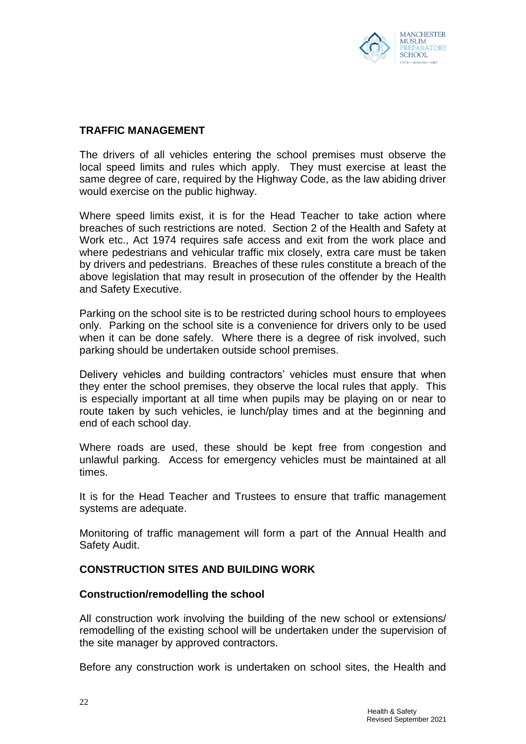

#### **TRAFFIC MANAGEMENT**

The drivers of all vehicles entering the school premises must observe the local speed limits and rules which apply. They must exercise at least the same degree of care, required by the Highway Code, as the law abiding driver would exercise on the public highway.

Where speed limits exist, it is for the Head Teacher to take action where breaches of such restrictions are noted. Section 2 of the Health and Safety at Work etc., Act 1974 requires safe access and exit from the work place and where pedestrians and vehicular traffic mix closely, extra care must be taken by drivers and pedestrians. Breaches of these rules constitute a breach of the above legislation that may result in prosecution of the offender by the Health and Safety Executive.

Parking on the school site is to be restricted during school hours to employees only. Parking on the school site is a convenience for drivers only to be used when it can be done safely. Where there is a degree of risk involved, such parking should be undertaken outside school premises.

Delivery vehicles and building contractors' vehicles must ensure that when they enter the school premises, they observe the local rules that apply. This is especially important at all time when pupils may be playing on or near to route taken by such vehicles, ie lunch/play times and at the beginning and end of each school day.

Where roads are used, these should be kept free from congestion and unlawful parking. Access for emergency vehicles must be maintained at all times.

It is for the Head Teacher and Trustees to ensure that traffic management systems are adequate.

Monitoring of traffic management will form a part of the Annual Health and Safety Audit.

#### **CONSTRUCTION SITES AND BUILDING WORK**

#### **Construction/remodelling the school**

All construction work involving the building of the new school or extensions/ remodelling of the existing school will be undertaken under the supervision of the site manager by approved contractors.

Before any construction work is undertaken on school sites, the Health and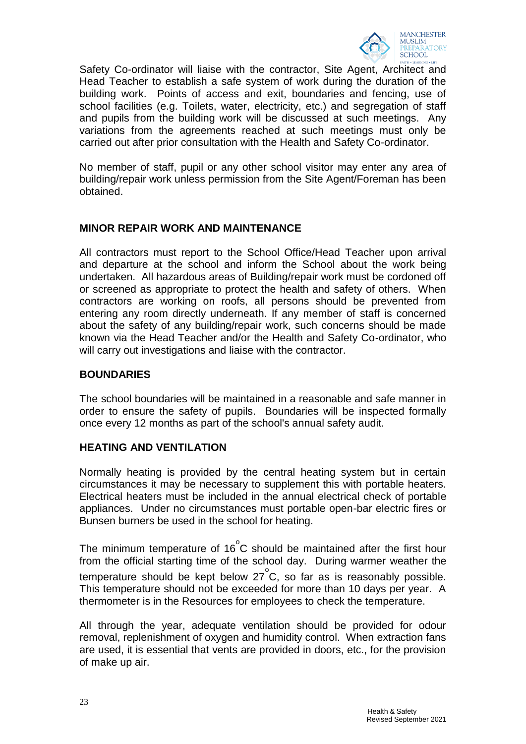

Safety Co-ordinator will liaise with the contractor, Site Agent, Architect and Head Teacher to establish a safe system of work during the duration of the building work. Points of access and exit, boundaries and fencing, use of school facilities (e.g. Toilets, water, electricity, etc.) and segregation of staff and pupils from the building work will be discussed at such meetings. Any variations from the agreements reached at such meetings must only be carried out after prior consultation with the Health and Safety Co-ordinator.

No member of staff, pupil or any other school visitor may enter any area of building/repair work unless permission from the Site Agent/Foreman has been obtained.

# **MINOR REPAIR WORK AND MAINTENANCE**

All contractors must report to the School Office/Head Teacher upon arrival and departure at the school and inform the School about the work being undertaken. All hazardous areas of Building/repair work must be cordoned off or screened as appropriate to protect the health and safety of others. When contractors are working on roofs, all persons should be prevented from entering any room directly underneath. If any member of staff is concerned about the safety of any building/repair work, such concerns should be made known via the Head Teacher and/or the Health and Safety Co-ordinator, who will carry out investigations and liaise with the contractor.

### **BOUNDARIES**

The school boundaries will be maintained in a reasonable and safe manner in order to ensure the safety of pupils. Boundaries will be inspected formally once every 12 months as part of the school's annual safety audit.

#### **HEATING AND VENTILATION**

Normally heating is provided by the central heating system but in certain circumstances it may be necessary to supplement this with portable heaters. Electrical heaters must be included in the annual electrical check of portable appliances. Under no circumstances must portable open-bar electric fires or Bunsen burners be used in the school for heating.

The minimum temperature of 16 $\degree$ C should be maintained after the first hour from the official starting time of the school day. During warmer weather the temperature should be kept below 27°C, so far as is reasonably possible. This temperature should not be exceeded for more than 10 days per year. A thermometer is in the Resources for employees to check the temperature.

All through the year, adequate ventilation should be provided for odour removal, replenishment of oxygen and humidity control. When extraction fans are used, it is essential that vents are provided in doors, etc., for the provision of make up air.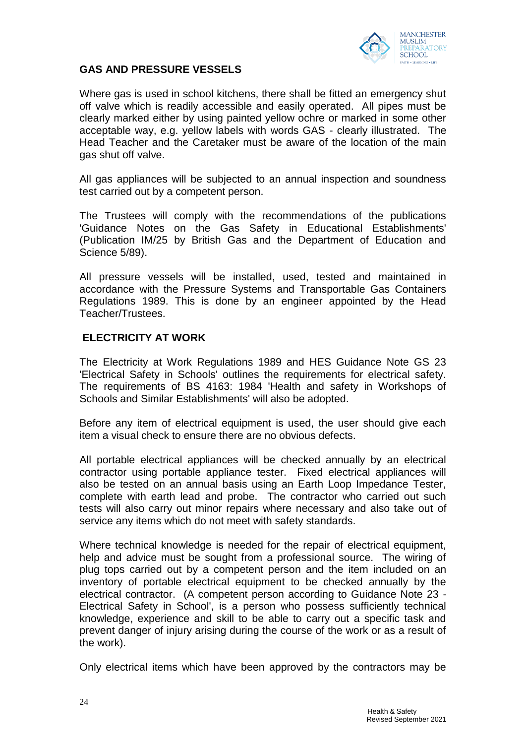

#### **GAS AND PRESSURE VESSELS**

Where gas is used in school kitchens, there shall be fitted an emergency shut off valve which is readily accessible and easily operated. All pipes must be clearly marked either by using painted yellow ochre or marked in some other acceptable way, e.g. yellow labels with words GAS - clearly illustrated. The Head Teacher and the Caretaker must be aware of the location of the main gas shut off valve.

All gas appliances will be subjected to an annual inspection and soundness test carried out by a competent person.

The Trustees will comply with the recommendations of the publications 'Guidance Notes on the Gas Safety in Educational Establishments' (Publication IM/25 by British Gas and the Department of Education and Science 5/89).

All pressure vessels will be installed, used, tested and maintained in accordance with the Pressure Systems and Transportable Gas Containers Regulations 1989. This is done by an engineer appointed by the Head Teacher/Trustees.

#### **ELECTRICITY AT WORK**

The Electricity at Work Regulations 1989 and HES Guidance Note GS 23 'Electrical Safety in Schools' outlines the requirements for electrical safety. The requirements of BS 4163: 1984 'Health and safety in Workshops of Schools and Similar Establishments' will also be adopted.

Before any item of electrical equipment is used, the user should give each item a visual check to ensure there are no obvious defects.

All portable electrical appliances will be checked annually by an electrical contractor using portable appliance tester. Fixed electrical appliances will also be tested on an annual basis using an Earth Loop Impedance Tester, complete with earth lead and probe. The contractor who carried out such tests will also carry out minor repairs where necessary and also take out of service any items which do not meet with safety standards.

Where technical knowledge is needed for the repair of electrical equipment, help and advice must be sought from a professional source. The wiring of plug tops carried out by a competent person and the item included on an inventory of portable electrical equipment to be checked annually by the electrical contractor. (A competent person according to Guidance Note 23 - Electrical Safety in School', is a person who possess sufficiently technical knowledge, experience and skill to be able to carry out a specific task and prevent danger of injury arising during the course of the work or as a result of the work).

Only electrical items which have been approved by the contractors may be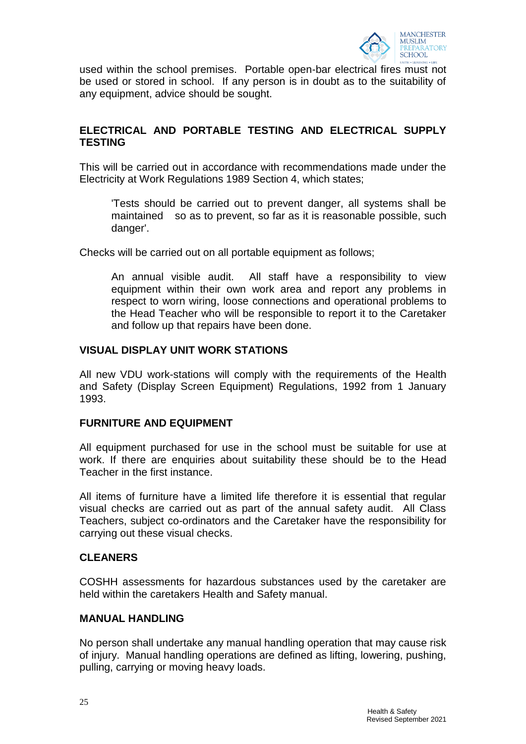

used within the school premises. Portable open-bar electrical fires must not be used or stored in school. If any person is in doubt as to the suitability of any equipment, advice should be sought.

# **ELECTRICAL AND PORTABLE TESTING AND ELECTRICAL SUPPLY TESTING**

This will be carried out in accordance with recommendations made under the Electricity at Work Regulations 1989 Section 4, which states;

'Tests should be carried out to prevent danger, all systems shall be maintained so as to prevent, so far as it is reasonable possible, such danger'.

Checks will be carried out on all portable equipment as follows;

An annual visible audit. All staff have a responsibility to view equipment within their own work area and report any problems in respect to worn wiring, loose connections and operational problems to the Head Teacher who will be responsible to report it to the Caretaker and follow up that repairs have been done.

#### **VISUAL DISPLAY UNIT WORK STATIONS**

All new VDU work-stations will comply with the requirements of the Health and Safety (Display Screen Equipment) Regulations, 1992 from 1 January 1993.

#### **FURNITURE AND EQUIPMENT**

All equipment purchased for use in the school must be suitable for use at work. If there are enquiries about suitability these should be to the Head Teacher in the first instance.

All items of furniture have a limited life therefore it is essential that regular visual checks are carried out as part of the annual safety audit. All Class Teachers, subject co-ordinators and the Caretaker have the responsibility for carrying out these visual checks.

# **CLEANERS**

COSHH assessments for hazardous substances used by the caretaker are held within the caretakers Health and Safety manual.

#### **MANUAL HANDLING**

No person shall undertake any manual handling operation that may cause risk of injury. Manual handling operations are defined as lifting, lowering, pushing, pulling, carrying or moving heavy loads.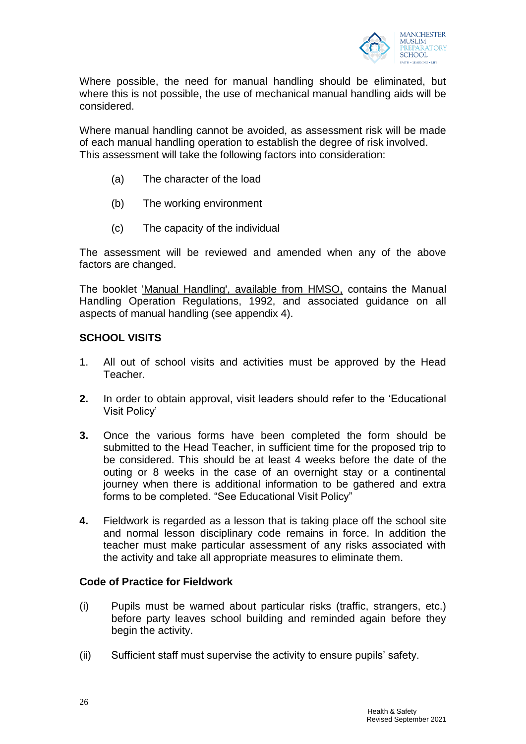

Where possible, the need for manual handling should be eliminated, but where this is not possible, the use of mechanical manual handling aids will be considered.

Where manual handling cannot be avoided, as assessment risk will be made of each manual handling operation to establish the degree of risk involved. This assessment will take the following factors into consideration:

- (a) The character of the load
- (b) The working environment
- (c) The capacity of the individual

The assessment will be reviewed and amended when any of the above factors are changed.

The booklet 'Manual Handling', available from HMSO, contains the Manual Handling Operation Regulations, 1992, and associated guidance on all aspects of manual handling (see appendix 4).

#### **SCHOOL VISITS**

- 1. All out of school visits and activities must be approved by the Head Teacher.
- **2.** In order to obtain approval, visit leaders should refer to the 'Educational Visit Policy'
- **3.** Once the various forms have been completed the form should be submitted to the Head Teacher, in sufficient time for the proposed trip to be considered. This should be at least 4 weeks before the date of the outing or 8 weeks in the case of an overnight stay or a continental journey when there is additional information to be gathered and extra forms to be completed. "See Educational Visit Policy"
- **4.** Fieldwork is regarded as a lesson that is taking place off the school site and normal lesson disciplinary code remains in force. In addition the teacher must make particular assessment of any risks associated with the activity and take all appropriate measures to eliminate them.

#### **Code of Practice for Fieldwork**

- (i) Pupils must be warned about particular risks (traffic, strangers, etc.) before party leaves school building and reminded again before they begin the activity.
- (ii) Sufficient staff must supervise the activity to ensure pupils' safety.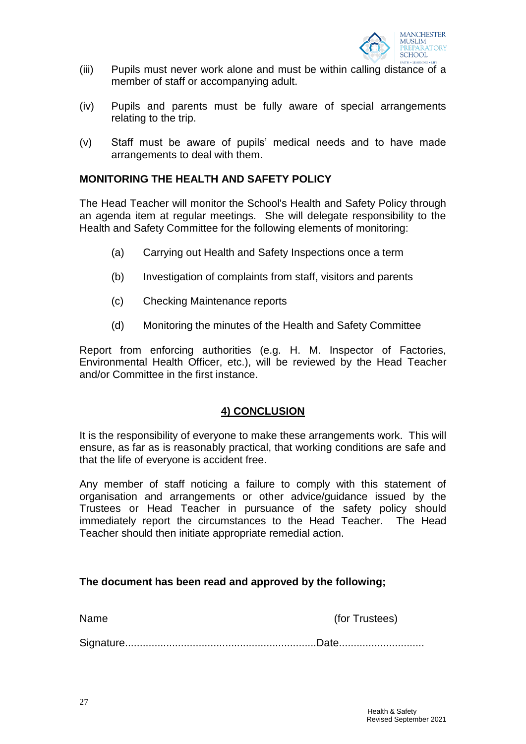

- (iii) Pupils must never work alone and must be within calling distance of a member of staff or accompanying adult.
- (iv) Pupils and parents must be fully aware of special arrangements relating to the trip.
- (v) Staff must be aware of pupils' medical needs and to have made arrangements to deal with them.

#### **MONITORING THE HEALTH AND SAFETY POLICY**

The Head Teacher will monitor the School's Health and Safety Policy through an agenda item at regular meetings. She will delegate responsibility to the Health and Safety Committee for the following elements of monitoring:

- (a) Carrying out Health and Safety Inspections once a term
- (b) Investigation of complaints from staff, visitors and parents
- (c) Checking Maintenance reports
- (d) Monitoring the minutes of the Health and Safety Committee

Report from enforcing authorities (e.g. H. M. Inspector of Factories, Environmental Health Officer, etc.), will be reviewed by the Head Teacher and/or Committee in the first instance.

#### **4) CONCLUSION**

It is the responsibility of everyone to make these arrangements work. This will ensure, as far as is reasonably practical, that working conditions are safe and that the life of everyone is accident free.

Any member of staff noticing a failure to comply with this statement of organisation and arrangements or other advice/guidance issued by the Trustees or Head Teacher in pursuance of the safety policy should immediately report the circumstances to the Head Teacher. The Head Teacher should then initiate appropriate remedial action.

#### **The document has been read and approved by the following;**

| lam<br>J |  |
|----------|--|
|----------|--|

(for Trustees)

Signature.................................................................Date.............................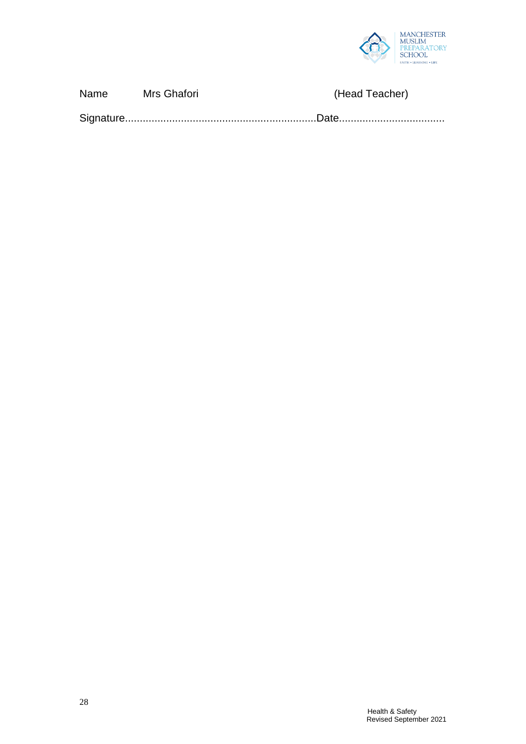

| Name | Mrs Ghafori | (Head Teacher) |  |
|------|-------------|----------------|--|
|      |             |                |  |

Signature.................................................................Date....................................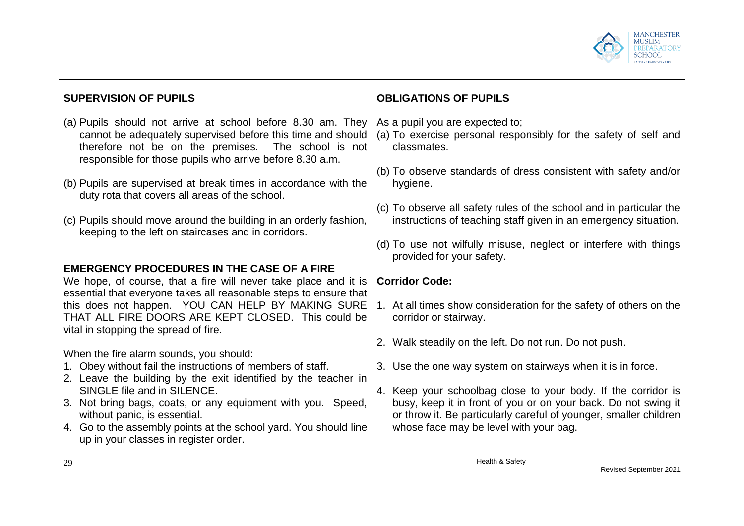

| <b>SUPERVISION OF PUPILS</b>                                                                                                                                                                                                                  | <b>OBLIGATIONS OF PUPILS</b>                                                                                                           |
|-----------------------------------------------------------------------------------------------------------------------------------------------------------------------------------------------------------------------------------------------|----------------------------------------------------------------------------------------------------------------------------------------|
| (a) Pupils should not arrive at school before 8.30 am. They<br>cannot be adequately supervised before this time and should<br>therefore not be on the premises. The school is not<br>responsible for those pupils who arrive before 8.30 a.m. | As a pupil you are expected to;<br>(a) To exercise personal responsibly for the safety of self and<br>classmates.                      |
| (b) Pupils are supervised at break times in accordance with the<br>duty rota that covers all areas of the school.                                                                                                                             | (b) To observe standards of dress consistent with safety and/or<br>hygiene.                                                            |
| (c) Pupils should move around the building in an orderly fashion,<br>keeping to the left on staircases and in corridors.                                                                                                                      | (c) To observe all safety rules of the school and in particular the<br>instructions of teaching staff given in an emergency situation. |
|                                                                                                                                                                                                                                               | (d) To use not wilfully misuse, neglect or interfere with things<br>provided for your safety.                                          |
| <b>EMERGENCY PROCEDURES IN THE CASE OF A FIRE</b>                                                                                                                                                                                             |                                                                                                                                        |
| We hope, of course, that a fire will never take place and it is                                                                                                                                                                               | <b>Corridor Code:</b>                                                                                                                  |
| essential that everyone takes all reasonable steps to ensure that<br>this does not happen. YOU CAN HELP BY MAKING SURE<br>THAT ALL FIRE DOORS ARE KEPT CLOSED. This could be<br>vital in stopping the spread of fire.                         | 1. At all times show consideration for the safety of others on the<br>corridor or stairway.                                            |
|                                                                                                                                                                                                                                               | 2. Walk steadily on the left. Do not run. Do not push.                                                                                 |
| When the fire alarm sounds, you should:                                                                                                                                                                                                       |                                                                                                                                        |
| 1. Obey without fail the instructions of members of staff.                                                                                                                                                                                    | 3. Use the one way system on stairways when it is in force.                                                                            |
| 2. Leave the building by the exit identified by the teacher in                                                                                                                                                                                |                                                                                                                                        |
| SINGLE file and in SILENCE.                                                                                                                                                                                                                   | 4. Keep your schoolbag close to your body. If the corridor is                                                                          |
| 3. Not bring bags, coats, or any equipment with you. Speed,<br>without panic, is essential.                                                                                                                                                   | busy, keep it in front of you or on your back. Do not swing it<br>or throw it. Be particularly careful of younger, smaller children    |
| 4. Go to the assembly points at the school yard. You should line                                                                                                                                                                              | whose face may be level with your bag.                                                                                                 |
| up in your classes in register order.                                                                                                                                                                                                         |                                                                                                                                        |

ட